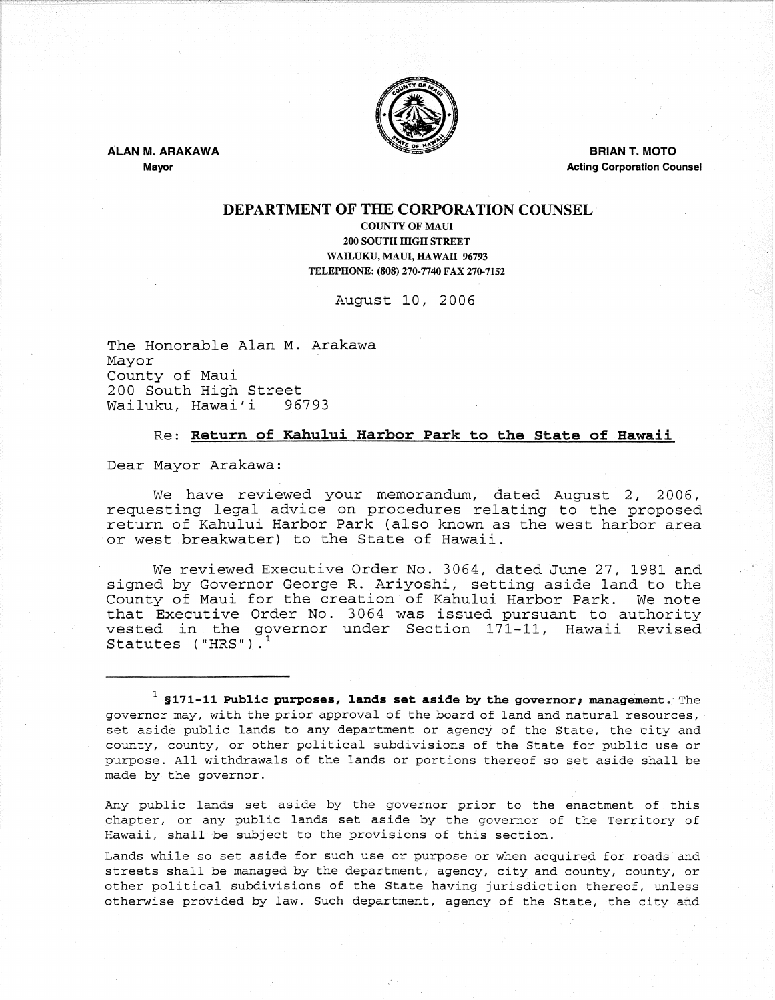

ALAN M. ARAKAWA

Mayor

**BRIAN T. MOTO** Acting Corporation Counsel

### DEPARTMENT OF THE CORPORATION COUNSEL

COUNTY OF MAUl 200 SOUTH mGH STREET WAILUKU, MAUl, HAWAII 96793 TELEPHONE: (808) 270-7740 FAX 270-7152

August 10, 2006

The Honorable Alan M. Arakawa Mayor County of Maui 200 South High Street<br>Wailuku, Hawai'i 96793 Wailuku, Hawai'i

### Re: Return of Kahului Harbor Park to the State of Hawaii

Dear Mayor Arakawa:

We have reviewed your memorandum, dated August 2, 2006, requesting legal advice on procedures relating to the proposed return of Kahului Harbor Park (also known as the west harbor area or west ,breakwater} to the State of Hawaii.

We reviewed Executive Order No. 3064, dated June 27, 1981 and signed by Governor George R. Ariyoshi, setting aside land to the County of Maui for the creation of Kahului Harbor Park. We note that Executive Order No. 3064 was issued pursuant to authority vested in the governor under Section 171-11, Hawaii Revised Statutes ("HRS").

 $^1$  \$171-11 Public purposes, lands set aside by the governor; management. The governor may, with the prior approval of the board of land and natural resources, set aside public lands to any department or agency of the State, the city and county, county, or other political subdivisions of the State for public use or purpose. All withdrawals of the lands or portions thereof so set aside shall be made by the governor.

Any public lands set aside by the governor prior to the enactment of this chapter, or any public lands set aside by the governor of the Territory of Hawaii, shall be subject to the provisions of this section.

Lands while so set aside for such use or purpose or when acquired for roads and streets shall be managed by the department, agency, city and county, county, or other political subdivisions of the State having jurisdiction thereof, unless otherwise provided by law. Such department, agency of the State, the city and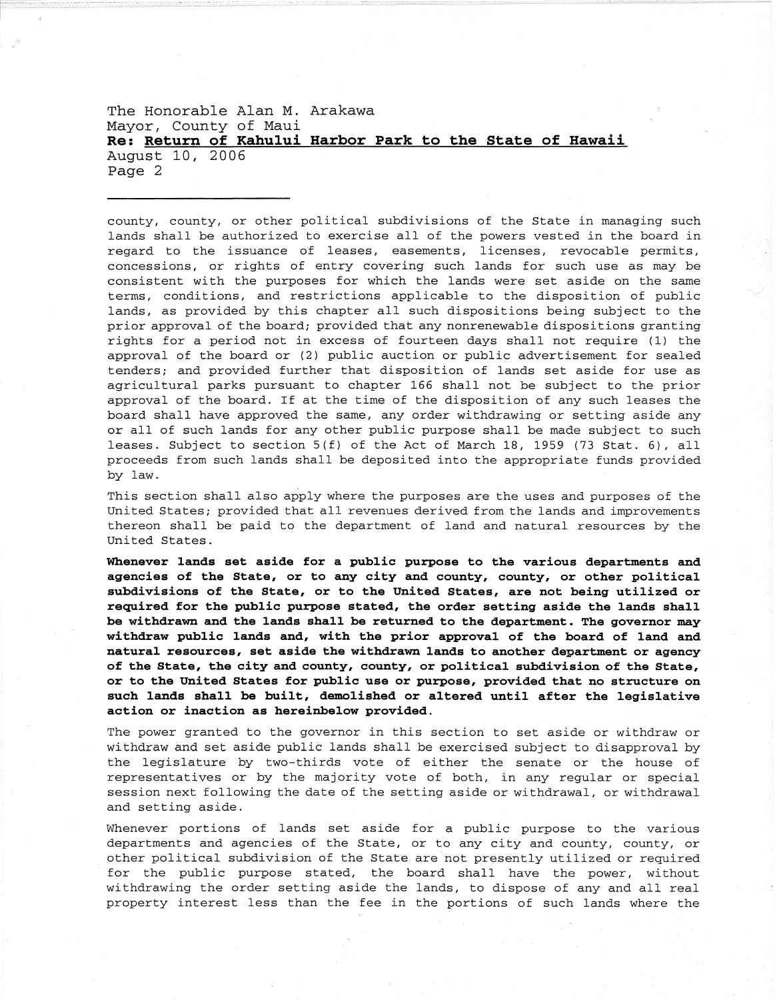The Honorable Alan M. Arakawa Mayor, County of Maui **Re: Return of Kahului Harbor Park to the State of Hawaii**  August 10, 2006 Page 2

county, county, or other political subdivisions of the State in managing such lands shall be authorized to exercise all of the powers vested in the board in regard to the issuance of leases, easements, licenses, revocable permits, concessions, or rights of entry covering such lands for such use as may be consistent with the purposes for which the lands were set aside on the same terms, conditions, and restrictions applicable to the disposition of public lands, as provided by this chapter all such dispositions being subject to the prior approval of the board; provided that any nonrenewable dispositions granting rights for a period not in excess of fourteen days shall not require (1) the approval of the board or (2) public auction or public advertisement for sealed tenders; and provided further that disposition of lands set aside for use as agricultural parks pursuant to chapter 166 shall not be subject to the prior approval of the board. If at the time of the disposition of any such leases the board shall have approved the same, any order withdrawing or setting aside any or all of such lands for any other public purpose shall be made subject to such leases. Subject to section 5(f) of the Act of March 18, 1959 (73 Stat. 6), all proceeds from such lands shall be deposited into the appropriate funds provided by law.

This section shall also apply where the purposes are the uses and purposes of the United States; provided that all revenues derived from the lands and improvements thereon shall be paid to the department of land and natural resources by the United States.

**Whenever lands set aside for a public purpose to the various departments and agencies of the State, or to any city and county, county, or other political subdivisions of the State, or to the United States, are not being utilized or required for the public purpose stated, the order setting aside the lands shall be withdrawn and the lands shall be returned to the department. The governor may withdraw public lands and, with the prior approval of the board of land and natural resources, set aside the withdrawn lands to another department or agency of the State, the city and county, county, or political subdivision of the State, or to the United States for public use or purpose, provided that no structure on such lands shall be built, demolished or altered until after the legislative action or inaction as hereinbelow provided.** 

The power granted to the governor in this section to set aside or withdraw or withdraw and set aside public lands shall be exercised subject to disapproval by the legislature by two-thirds vote of either the senate or the house of representatives or by the majority vote of both, in any regular or special session next following the date of the setting aside or withdrawal, or withdrawal and setting aside.

Whenever portions of lands set aside for a public purpose to the various departments and agencies of the State, or to any city and county, county, or other political subdivision of the State are not presently utilized or required for the public purpose stated, the board shall have the power, without withdrawing the order setting aside the lands, to dispose of any and all real property interest less than the fee in the portions of such lands where the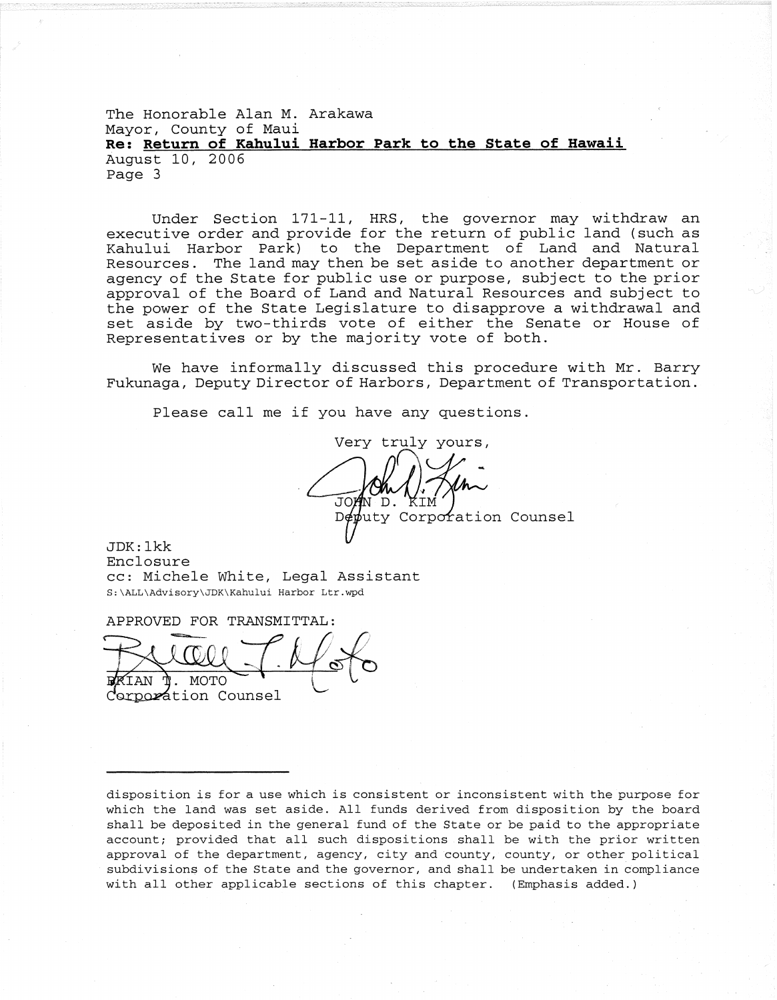The Honorable Alan M. Arakawa Mayor, County of Maui **Re: Return of Kahului Harbor Park to the State of Hawaii**  August 10, 2006 Page 3

Under Section 171-11, HRS, the governor may withdraw an executive order and provide for the return of public land (such as Kahului Harbor Park) to the Department of Land and Natural Resources. The land may then be set aside to another department or agency of the State for public use or purpose, subject to the prior approval of the Board of Land and Natural Resources and subject to the power of the State Legislature to disapprove a withdrawal and set aside by two-thirds vote of either the Senate or House of Representatives or by the majority vote of both.

We have informally discussed this procedure with Mr. Barry Fukunaga, Deputy Director of Harbors, Department of Transportation.

Please call me if you have any questions.

Very truly yours,  $\bigcap_{\Lambda} \bigcap_{\Lambda} \Lambda_{\Lambda}$  $\mathsf{D}$  $D$  $\notin$  $\psi$ uty Corporation Counsel

JDK: lkk Enclosure cc: Michele White, Legal Assistant S;\ALL\Advisory\JDK\Kahului Harbor Ltr.wpd

APPROVED FOR TRANSMITTAL:

 $1.460$  $\sim$ Corporation Counsel

disposition is for a use which is consistent or inconsistent with the purpose for which the land was set aside. All funds derived from disposition by the board shall be deposited in the general fund of the State or be paid to the appropriate account; provided that all such dispositions shall be with the prior written approval of the department, agency, city and county, county, or other political subdivisions of the State and the governor, and shall be undertaken in compliance with all other applicable sections of this chapter. (Emphasis added.)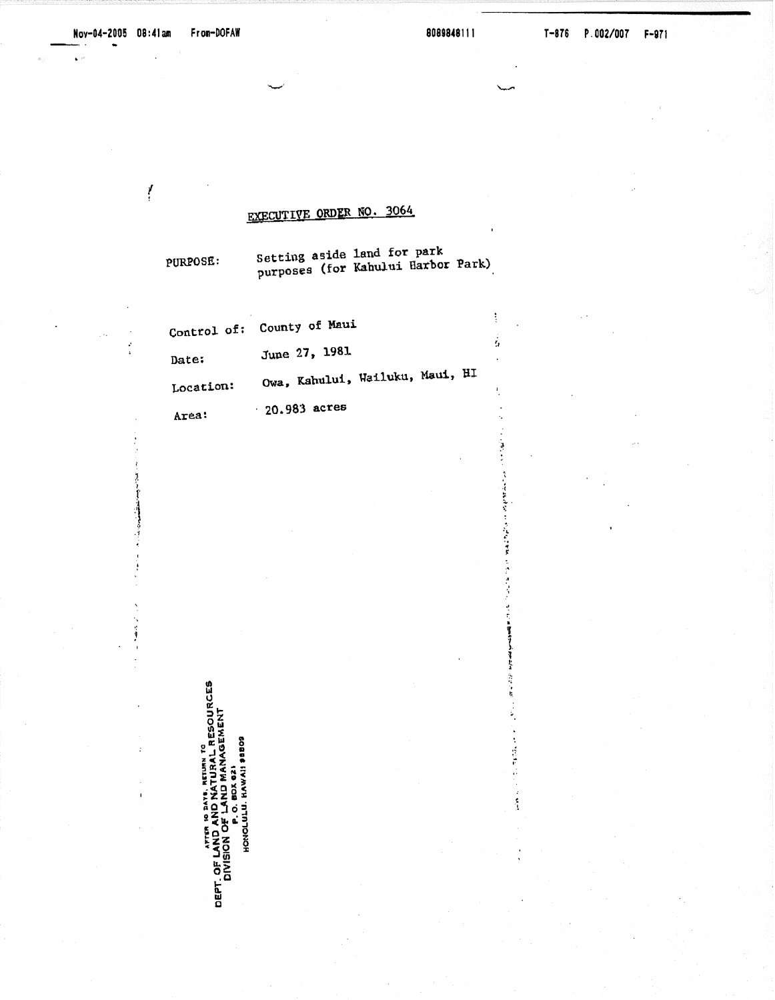ļ

 $\mathbf{r}$ 

ţ

 $\dot{\mathbf{5}}$ 

化离子反应 医分子裂面包 医马拉氏神宫 医原子法疗疗

计打印管理管理程序 的过去式

医阿米尔氏菌 计数据库

 $\frac{2}{3}$ 

## EXECUTIVE ORDER NO. 3064

PURPOSE:

Setting aside land for park<br>purposes (for Kahului Harbor Park)

|           | Control of: County of Maui      |  |  |
|-----------|---------------------------------|--|--|
| Date:     | June 27, 1981                   |  |  |
| Location: | Owa, Kahului, Wailuku, Maui, HI |  |  |
| .         | $-20.983$ acres                 |  |  |

Area:

J

ï

Î.

 $\mathbf{r}$ 

ATTRE AND NATURAL RESOURCES<br>DEPT. OF LAND AND MATURAL RESOURCES<br>DIVISION OF LAND MANAGEMENT<br>HONOLULU. HAWAI 9889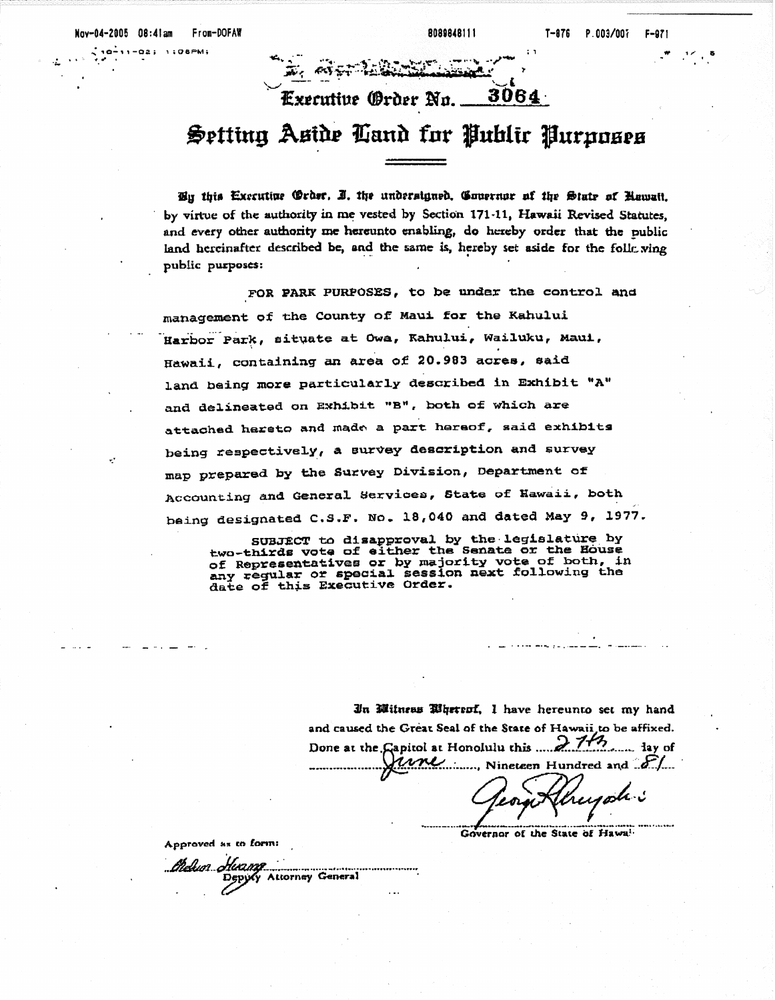$10 - 11 - 02$  $1:QBPM$ 

### 3064 Executive (Ørder No. ...

# Setting Aside Cand for Public Purposes

Bu this Executive (Order, I. the undersigned, Couernor of the State of Rawait, by virtue of the authority in me vested by Section 171-11, Hawaii Revised Statutes. and every other authority me hereunto enabling, do hereby order that the public land hereinafter described be, and the same is, hereby set aside for the folly ving public purposes:

FOR PARK PURPOSES, to be under the control and management of the County of Maui for the Kahului Harbor Park, situate at Owa, Kahului, Wailuku, Maui, Hawaii, containing an area of 20.983 acres, said land being more particularly described in Exhibit "A" and delineated on Exhibit "B", both of which are attached hereto and made a part hereof, said exhibits being respectively, a survey description and survey map prepared by the Survey Division, Department of Accounting and General Services, State of Hawaii, both being designated C.S.F. No. 18,040 and dated May 9, 1977.

SUBJECT to disapproval by the legislature by<br>two-thirds vote of either the Senate or the House of Representatives or by majority vote of both, in<br>any regular or special session next following the<br>date of this Executive Order.

> In Mitneas Bhereof, I have hereunto set my hand and caused the Great Seal of the State of Hawaii to be affixed. Done at the Gapitol at Honolulu this ..... 2. 143 rimi  $\ldots$ , Nineteen Hundred and  $\mathcal{F}/\mathcal{F}$

reyoh:

Governor of the State of Hawai-

Approved as to form:

thelun Huame Depyty Attorney General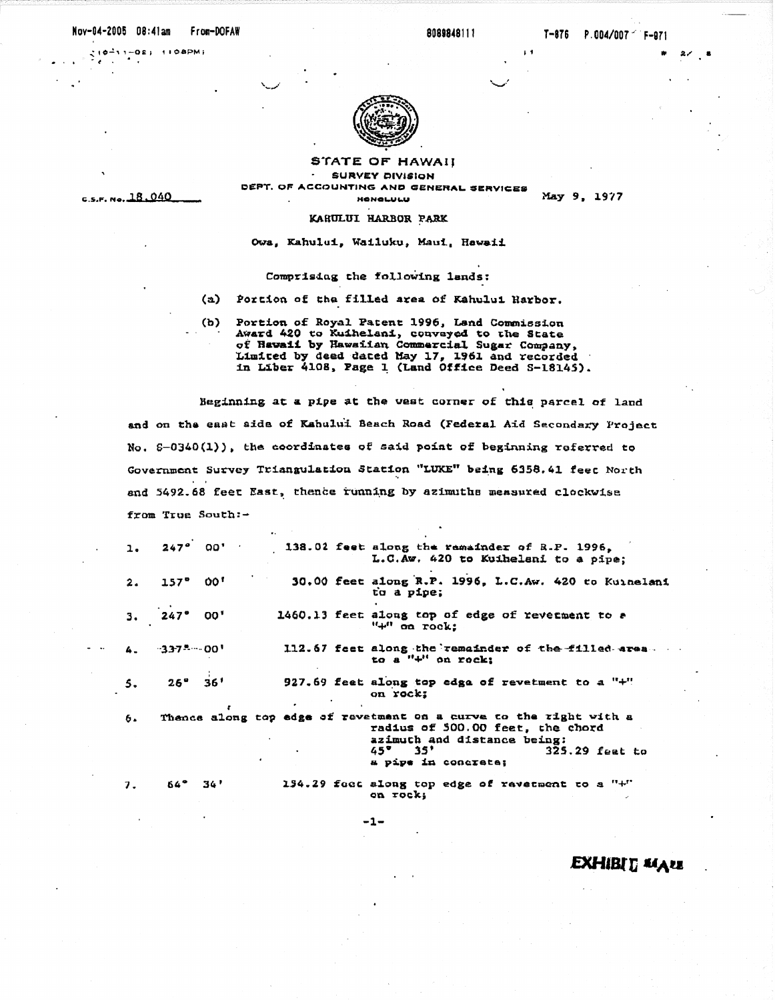#### Nov-04-2005 08:41am From-DOFAW

 $27,8$ 

 $510 - 11 - 02$ ;  $1100$  PM;  $\sim$  $\cdot$ 

c.s.f. No. 18.040



STATE OF HAWAII **SURVEY DIVISION** DEPT. OF ACCOUNTING AND GENERAL SERVICES **HONOLULU** 

May 9, 1977

### KARULUI HARBOR PARK

Owa, Kahului, Wailuku, Maui, Hawaii

#### Comprising the following lands:

- $(a)$ Portion of the filled area of Kahului Harbor.
- $(b)$ Portion of Royal Patent 1996, Land Commission Award 420 to Kuihelani, conveyed to the State<br>of Hawaii by Hawaiian Commercial Sugar Company, Limited by deed dated May 17, 1961 and recorded in Liber 4108, Page 1 (Land Office Deed S-18145).

Beginning at a pipe at the west corner of this parcel of land and on the east aids of Kahului Beach Road (Federal Aid Secondary Project No. 6-0340(1)), the coordinates of said point of beginning referred to Government Survey Triangulation Station "LUKE" being 6358.41 feet North and 5492.68 feet East, thence running by azimuths measured clockwise from True South:-

|    | $1.247°$ 00'               | 138.02 feet along the remainder of R.P. 1996.<br>L.C.Aw. 420 to Kuihelani to a pipe;                                                                                                      |
|----|----------------------------|-------------------------------------------------------------------------------------------------------------------------------------------------------------------------------------------|
|    | $2.157^{\circ}00^{\circ}$  | 30.00 feet along R.P. 1996, L.C.Aw. 420 to Kuinelani<br>to a pipe;                                                                                                                        |
|    | $3.247^{\circ} 00^{\circ}$ | 1460.13 feet along top of edge of reverment to a<br>$" +"$ on rock:                                                                                                                       |
|    | $4. 337$ * $00'$           | 112.67 feet along the remainder of the filled area.<br>to a $" +"$ on rock;                                                                                                               |
| 5. | $26^{\circ}$ $36^{\circ}$  | 927.69 feet along top edga of revetment to a "+"<br>on rock;                                                                                                                              |
| 6. |                            | Thence along top edge of revetment on a curve to the right with a<br>radius of 500.00 feet, the chord<br>azimuth and distance being:<br>45"35"<br>$325.29$ feat to<br>a pipe in concrete; |
| 7. | $64^{\circ}$ $34'$         | 194.29 foot along top edge of revetment to a "+"<br>on rock;                                                                                                                              |

 $-1-$ 

**EXHIBIT MALL**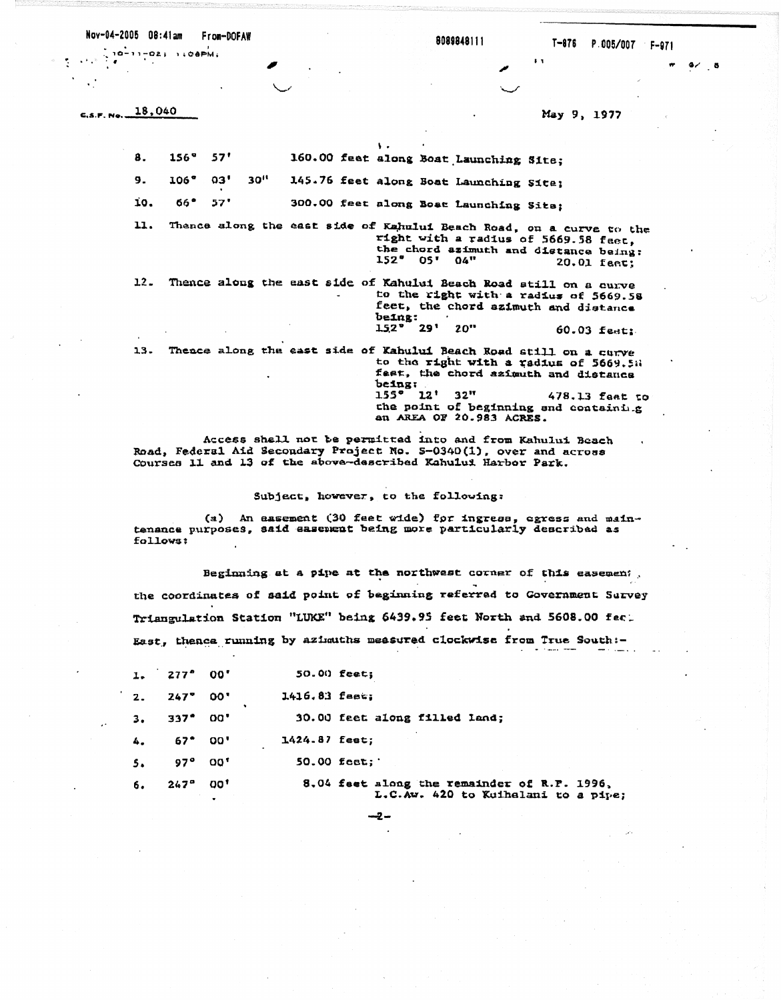Nov-04-2005 08:41am From-DOFAW

 $10 - 11 - 02$ ;  $1000 - 01$ ;

 $\sim 10^{-10}$ 

 $C.S.F.M.o.$ 

8089848111

 $4/8$ 

 $\ddot{\phantom{a}}$ 

18,040 May 9, 1977  $\mathbf{v}$ 160.00 feat along Boat Launching Site; 8.  $156^{\circ}$  $57'$  $30<sup>11</sup>$  $9.$ 106°  $03'$ 145.76 feet along Boat Launching Site:  $66°$  $57'$ 300.00 feet along Boat Launching Sits; 10. Thence along the east side of Kahului Beach Road, on a curve to the 11. right with a radius of 5669.58 feet, the chord azimuth and distance being:<br>152° 05' 04" 20.01 feet:  $20.01$  fact: Thence along the east side of Kahului Beach Road still on a curve  $12$ to the right with a radius of 5669.58 feet, the chord azimuth and distance being:<br>152° 29' 20" 60.03 feet:

Thence along the east side of Kahului Beach Road still on a curve  $13.$ to the right with a radius of 5669.58 feet, the chord azimuth and distance being:<br> $155^\circ$   $12'$ 32" 478.13 faat to the point of beginning and coataining an AREA OF 20.983 ACRES.

Access shall not be permitted into and from Kahului Beach Road. Federal Aid Secondary Project No. 5-0340(1), over and across Courses 11 and 13 of the above-described Kahului Harbor Park.

Subject, however, to the following:

(a) An easement (30 feet wide) for ingress, egress and maintenance purposes, said easement being more particularly described as follows:

Beginning at a pipe at the northwest corner of this easement, the coordinates of said point of beginning referred to Government Survey Triangulation Station "LUKE" being 6439.95 feet North and 5608.00 feet East, thence running by azimuths measured clockwise from True South :-

|                | $1.277^{\circ}00'$        |       | $50.00$ feet;   |                                                                                    |
|----------------|---------------------------|-------|-----------------|------------------------------------------------------------------------------------|
|                | $2.247^{\circ}00^{\circ}$ |       | $1416.83$ feet; |                                                                                    |
| 3.             | 337° 00'                  |       |                 | 30.00 feet along filled land;                                                      |
| 4.             | 67* 00'                   |       | 1424.87 feet;   |                                                                                    |
| 5 <sub>n</sub> | 97° 00'                   |       |                 | $50.00$ feet;                                                                      |
| 6.             | $247^{\circ}$             | - 00' |                 | 8.04 feet along the remainder of R.P. 1996,<br>L.C.Aw. 420 to Kuihalani to a pipe; |

 $-2-$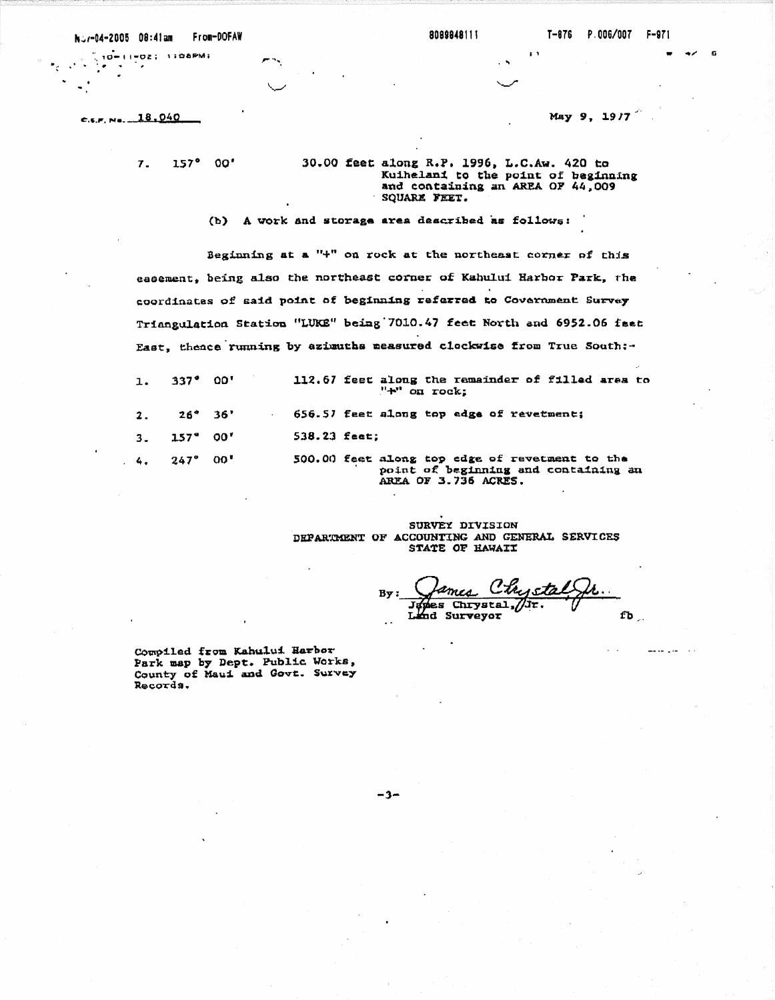Nov-04-2005 08:41am From-DOFAW

8089848111

10-11-02; 1:08FM;

 $c.s.r.$  No.  $18.040$ 

May 9, 19/7

 $\ddot{\phantom{1}}$ 

 $\overline{7}$ . 157° 00' 30.00 feet along R.P. 1996, L.C.Aw. 420 to Kuihelani to the point of beginning and containing an AREA OF 44,009 SQUARE FEET.

(b) A work and storage area described as follows:

Beginning at a "+" on rock at the northeast corner of this easement, being also the northeast corner of Kahului Harbor Park, the coordinates of said point of beginning referred to Covernment Survey Triangulation Station "LUKE" being 7010.47 feet North and 6952.06 feet East, thence running by azimuths measured clockwise from True South:-

| 1. 337° 00'         | 112.67 feet along the remainder of filled area to<br>$" +"$ on rock:                                           |
|---------------------|----------------------------------------------------------------------------------------------------------------|
| $2. 26^{\circ} 36'$ | 656.57 feet along top edge of revetment;                                                                       |
| $3.157^{\circ}00'$  | $538.23$ feet;                                                                                                 |
| 4. 247° 00'         | 500.00 feet along top edge of revetment to the<br>point of beginning and containing an<br>AREA OF 3.736 ACRES. |

SURVEY DIVISION DEPARTMENT OF ACCOUNTING AND GENERAL SERVICES STATE OF HAWAIT

sta I  $B<sub>v</sub>$ es Chrystal, /Jr. Land Surveyor  $fb_{1}$ 

Compiled from Kahului Harbor Park map by Dept. Public Works, County of Maui and Govt. Survey Records.

 $-3-$